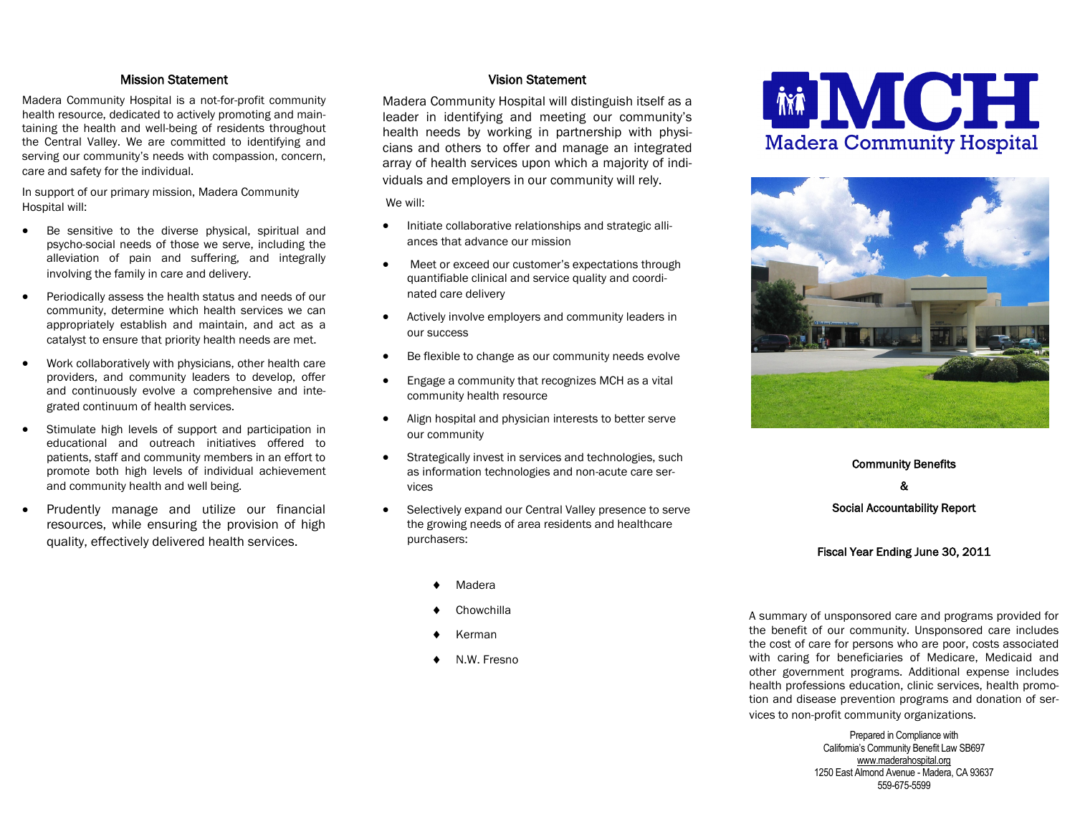## Mission Statement

Madera Community Hospital is a not-for-profit community health resource, dedicated to actively promoting and maintaining the health and well-being of residents throughout the Central Valley. We are committed to identifying and serving our community's needs with compassion, concern, care and safety for the individual.

In support of our primary mission, Madera Community Hospital will:

- Be sensitive to the diverse physical, spiritual and psycho-social needs of those we serve, including the alleviation of pain and suffering, and integrally involving the family in care and delivery.
- Periodically assess the health status and needs of our community, determine which health services we can appropriately establish and maintain, and act as a catalyst to ensure that priority health needs are met.
- Work collaboratively with physicians, other health care providers, and community leaders to develop, offer and continuously evolve a comprehensive and integrated continuum of health services.
- Stimulate high levels of support and participation in educational and outreach initiatives offered to patients, staff and community members in an effort to promote both high levels of individual achievement and community health and well being.
- Prudently manage and utilize our financial resources, while ensuring the provision of high quality, effectively delivered health services.

## Vision Statement

Madera Community Hospital will distinguish itself as a leader in identifying and meeting our community's health needs by working in partnership with physicians and others to offer and manage an integrated array of health services upon which a majority of individuals and employers in our community will rely.

We will:

- Initiate collaborative relationships and strategic alliances that advance our mission
- Meet or exceed our customer's expectations through quantifiable clinical and service quality and coordinated care delivery
- Actively involve employers and community leaders in our success
- Be flexible to change as our community needs evolve
- Engage a community that recognizes MCH as a vital community health resource
- Align hospital and physician interests to better serve our community
- Strategically invest in services and technologies, such as information technologies and non-acute care services
- Selectively expand our Central Valley presence to serve the growing needs of area residents and healthcare purchasers:
	- Madera
	- **Chowchilla**
	- Kerman
	- N.W. Fresno





Community Benefits & Social Accountability Report

#### Fiscal Year Ending June 30, 2011

A summary of unsponsored care and programs provided for the benefit of our community. Unsponsored care includes the cost of care for persons who are poor, costs associated with caring for beneficiaries of Medicare, Medicaid and other government programs. Additional expense includes health professions education, clinic services, health promotion and disease prevention programs and donation of services to non-profit community organizations.

> Prepared in Compliance with California's Community Benefit Law SB697 [www.maderahospital.org](http://www.maderahospital.org) 1250 East Almond Avenue - Madera, CA 93637 559-675-5599